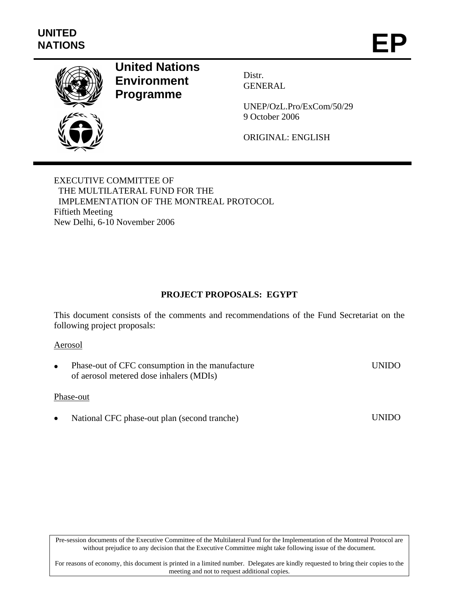

# **United Nations Environment Programme**

Distr. GENERAL

UNEP/OzL.Pro/ExCom/50/29 9 October 2006

ORIGINAL: ENGLISH

EXECUTIVE COMMITTEE OF THE MULTILATERAL FUND FOR THE IMPLEMENTATION OF THE MONTREAL PROTOCOL Fiftieth Meeting New Delhi, 6-10 November 2006

# **PROJECT PROPOSALS: EGYPT**

This document consists of the comments and recommendations of the Fund Secretariat on the following project proposals:

#### Aerosol

Phase-out of CFC consumption in the manufacture of aerosol metered dose inhalers (MDIs) UNIDO

#### Phase-out

• National CFC phase-out plan (second tranche) UNIDO

Pre-session documents of the Executive Committee of the Multilateral Fund for the Implementation of the Montreal Protocol are without prejudice to any decision that the Executive Committee might take following issue of the document.

For reasons of economy, this document is printed in a limited number. Delegates are kindly requested to bring their copies to the meeting and not to request additional copies.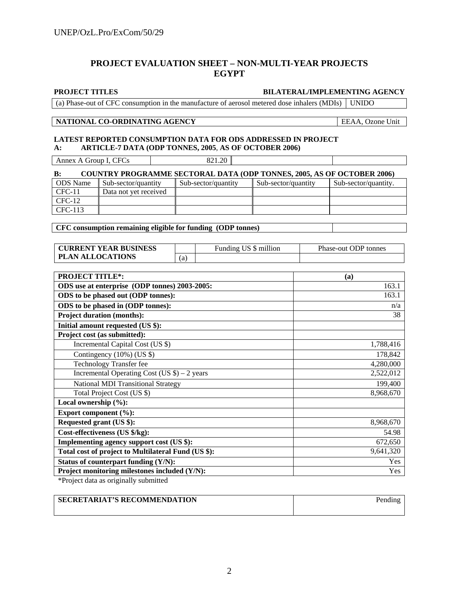# **PROJECT EVALUATION SHEET – NON-MULTI-YEAR PROJECTS EGYPT**

#### **PROJECT TITLES BILATERAL/IMPLEMENTING AGENCY**

(a) Phase-out of CFC consumption in the manufacture of aerosol metered dose inhalers (MDIs) UNIDO

#### **NATIONAL CO-ORDINATING AGENCY** EEAA, Ozone Unit

#### **LATEST REPORTED CONSUMPTION DATA FOR ODS ADDRESSED IN PROJECT A: ARTICLE-7 DATA (ODP TONNES, 2005**, **AS OF OCTOBER 2006)**

Annex A Group I, CFCs 821.20

| <b>COUNTRY PROGRAMME SECTORAL DATA (ODP TONNES, 2005, AS OF OCTOBER 2006)</b><br>$\bf{B}$ : |                       |                     |                     |                      |  |  |  |
|---------------------------------------------------------------------------------------------|-----------------------|---------------------|---------------------|----------------------|--|--|--|
| <b>ODS</b> Name                                                                             | Sub-sector/quantity   | Sub-sector/quantity | Sub-sector/quantity | Sub-sector/quantity. |  |  |  |
| $CFC-11$                                                                                    | Data not vet received |                     |                     |                      |  |  |  |
| $CFC-12$                                                                                    |                       |                     |                     |                      |  |  |  |
| CFC-113                                                                                     |                       |                     |                     |                      |  |  |  |

**CFC consumption remaining eligible for funding (ODP tonnes)** 

| <b>CURRENT YEAR BUSINESS</b> |    | Funding US \$ million | Phase-out ODP tonnes |
|------------------------------|----|-----------------------|----------------------|
| <b>PLAN ALLOCATIONS</b>      | (a |                       |                      |

| <b>PROJECT TITLE*:</b>                              | (a)        |
|-----------------------------------------------------|------------|
| ODS use at enterprise (ODP tonnes) 2003-2005:       | 163.1      |
| ODS to be phased out (ODP tonnes):                  | 163.1      |
| ODS to be phased in (ODP tonnes):                   | n/a        |
| <b>Project duration (months):</b>                   | 38         |
| Initial amount requested (US \$):                   |            |
| Project cost (as submitted):                        |            |
| Incremental Capital Cost (US \$)                    | 1,788,416  |
| Contingency (10%) (US \$)                           | 178,842    |
| <b>Technology Transfer fee</b>                      | 4,280,000  |
| Incremental Operating Cost (US $\$ ) – 2 years      | 2,522,012  |
| <b>National MDI Transitional Strategy</b>           | 199,400    |
| Total Project Cost (US \$)                          | 8,968,670  |
| Local ownership $(\%):$                             |            |
| Export component (%):                               |            |
| Requested grant (US \$):                            | 8,968,670  |
| Cost-effectiveness (US \$/kg):                      | 54.98      |
| Implementing agency support cost (US \$):           | 672,650    |
| Total cost of project to Multilateral Fund (US \$): | 9,641,320  |
| Status of counterpart funding (Y/N):                | <b>Yes</b> |
| Project monitoring milestones included (Y/N):       | Yes        |

\*Project data as originally submitted

| <b>SECRETARIAT'S RECOMMENDATION</b> | Pending |
|-------------------------------------|---------|
|                                     |         |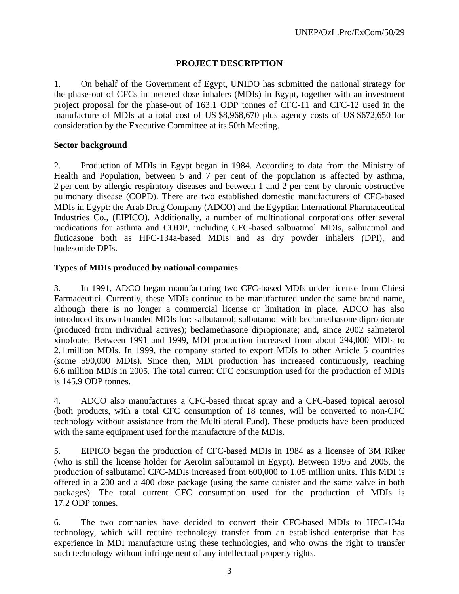# **PROJECT DESCRIPTION**

1. On behalf of the Government of Egypt, UNIDO has submitted the national strategy for the phase-out of CFCs in metered dose inhalers (MDIs) in Egypt, together with an investment project proposal for the phase-out of 163.1 ODP tonnes of CFC-11 and CFC-12 used in the manufacture of MDIs at a total cost of US \$8,968,670 plus agency costs of US \$672,650 for consideration by the Executive Committee at its 50th Meeting.

#### **Sector background**

2. Production of MDIs in Egypt began in 1984. According to data from the Ministry of Health and Population, between 5 and 7 per cent of the population is affected by asthma, 2 per cent by allergic respiratory diseases and between 1 and 2 per cent by chronic obstructive pulmonary disease (COPD). There are two established domestic manufacturers of CFC-based MDIs in Egypt: the Arab Drug Company (ADCO) and the Egyptian International Pharmaceutical Industries Co., (EIPICO). Additionally, a number of multinational corporations offer several medications for asthma and CODP, including CFC-based salbuatmol MDIs, salbuatmol and fluticasone both as HFC-134a-based MDIs and as dry powder inhalers (DPI), and budesonide DPIs.

#### **Types of MDIs produced by national companies**

3. In 1991, ADCO began manufacturing two CFC-based MDIs under license from Chiesi Farmaceutici. Currently, these MDIs continue to be manufactured under the same brand name, although there is no longer a commercial license or limitation in place. ADCO has also introduced its own branded MDIs for: salbutamol; salbutamol with beclamethasone dipropionate (produced from individual actives); beclamethasone dipropionate; and, since 2002 salmeterol xinofoate. Between 1991 and 1999, MDI production increased from about 294,000 MDIs to 2.1 million MDIs. In 1999, the company started to export MDIs to other Article 5 countries (some 590,000 MDIs). Since then, MDI production has increased continuously, reaching 6.6 million MDIs in 2005. The total current CFC consumption used for the production of MDIs is 145.9 ODP tonnes.

4. ADCO also manufactures a CFC-based throat spray and a CFC-based topical aerosol (both products, with a total CFC consumption of 18 tonnes, will be converted to non-CFC technology without assistance from the Multilateral Fund). These products have been produced with the same equipment used for the manufacture of the MDIs.

5. EIPICO began the production of CFC-based MDIs in 1984 as a licensee of 3M Riker (who is still the license holder for Aerolin salbutamol in Egypt). Between 1995 and 2005, the production of salbutamol CFC-MDIs increased from 600,000 to 1.05 million units. This MDI is offered in a 200 and a 400 dose package (using the same canister and the same valve in both packages). The total current CFC consumption used for the production of MDIs is 17.2 ODP tonnes.

6. The two companies have decided to convert their CFC-based MDIs to HFC-134a technology, which will require technology transfer from an established enterprise that has experience in MDI manufacture using these technologies, and who owns the right to transfer such technology without infringement of any intellectual property rights.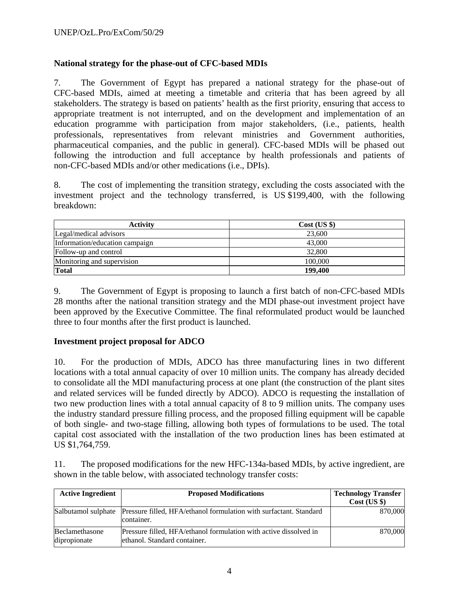# **National strategy for the phase-out of CFC-based MDIs**

7. The Government of Egypt has prepared a national strategy for the phase-out of CFC-based MDIs, aimed at meeting a timetable and criteria that has been agreed by all stakeholders. The strategy is based on patients' health as the first priority, ensuring that access to appropriate treatment is not interrupted, and on the development and implementation of an education programme with participation from major stakeholders, (i.e., patients, health professionals, representatives from relevant ministries and Government authorities, pharmaceutical companies, and the public in general). CFC-based MDIs will be phased out following the introduction and full acceptance by health professionals and patients of non-CFC-based MDIs and/or other medications (i.e., DPIs).

8. The cost of implementing the transition strategy, excluding the costs associated with the investment project and the technology transferred, is US \$199,400, with the following breakdown:

| Activity                       | $Cost$ (US $\})$ |
|--------------------------------|------------------|
| Legal/medical advisors         | 23,600           |
| Information/education campaign | 43,000           |
| Follow-up and control          | 32,800           |
| Monitoring and supervision     | 100,000          |
| Total                          | 199,400          |

9. The Government of Egypt is proposing to launch a first batch of non-CFC-based MDIs 28 months after the national transition strategy and the MDI phase-out investment project have been approved by the Executive Committee. The final reformulated product would be launched three to four months after the first product is launched.

# **Investment project proposal for ADCO**

10. For the production of MDIs, ADCO has three manufacturing lines in two different locations with a total annual capacity of over 10 million units. The company has already decided to consolidate all the MDI manufacturing process at one plant (the construction of the plant sites and related services will be funded directly by ADCO). ADCO is requesting the installation of two new production lines with a total annual capacity of 8 to 9 million units. The company uses the industry standard pressure filling process, and the proposed filling equipment will be capable of both single- and two-stage filling, allowing both types of formulations to be used. The total capital cost associated with the installation of the two production lines has been estimated at US \$1,764,759.

11. The proposed modifications for the new HFC-134a-based MDIs, by active ingredient, are shown in the table below, with associated technology transfer costs:

| <b>Active Ingredient</b>       | <b>Proposed Modifications</b>                                                                        | <b>Technology Transfer</b><br>Cost (US \$) |
|--------------------------------|------------------------------------------------------------------------------------------------------|--------------------------------------------|
|                                | Salbutamol sulphate Pressure filled, HFA/ethanol formulation with surfactant. Standard<br>container. | 870,000                                    |
| Beclamethasone<br>dipropionate | Pressure filled, HFA/ethanol formulation with active dissolved in<br>ethanol. Standard container.    | 870,000                                    |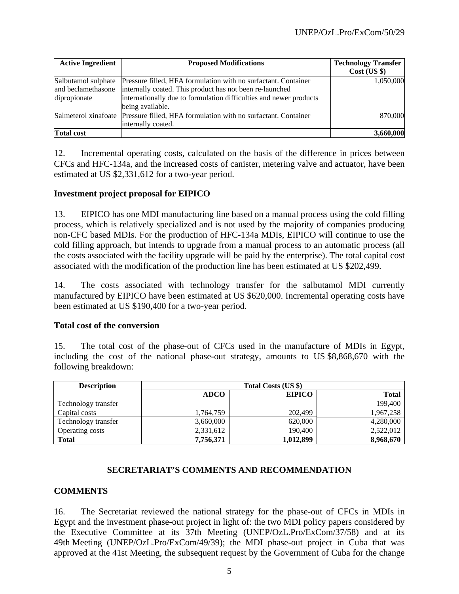| <b>Active Ingredient</b>                                  | <b>Proposed Modifications</b>                                                                                                                                                                                        | <b>Technology Transfer</b><br>Cost (US \$) |
|-----------------------------------------------------------|----------------------------------------------------------------------------------------------------------------------------------------------------------------------------------------------------------------------|--------------------------------------------|
| Salbutamol sulphate<br>and beclamethasone<br>dipropionate | Pressure filled, HFA formulation with no surfactant. Container<br>internally coated. This product has not been re-launched<br>internationally due to formulation difficulties and newer products<br>being available. | 1,050,000                                  |
|                                                           | Salmeterol xinafoate Pressure filled, HFA formulation with no surfactant. Container<br>internally coated.                                                                                                            | 870,000                                    |
| <b>Total cost</b>                                         |                                                                                                                                                                                                                      | 3,660,000                                  |

12. Incremental operating costs, calculated on the basis of the difference in prices between CFCs and HFC-134a, and the increased costs of canister, metering valve and actuator, have been estimated at US \$2,331,612 for a two-year period.

#### **Investment project proposal for EIPICO**

13. EIPICO has one MDI manufacturing line based on a manual process using the cold filling process, which is relatively specialized and is not used by the majority of companies producing non-CFC based MDIs. For the production of HFC-134a MDIs, EIPICO will continue to use the cold filling approach, but intends to upgrade from a manual process to an automatic process (all the costs associated with the facility upgrade will be paid by the enterprise). The total capital cost associated with the modification of the production line has been estimated at US \$202,499.

14. The costs associated with technology transfer for the salbutamol MDI currently manufactured by EIPICO have been estimated at US \$620,000. Incremental operating costs have been estimated at US \$190,400 for a two-year period.

#### **Total cost of the conversion**

15. The total cost of the phase-out of CFCs used in the manufacture of MDIs in Egypt, including the cost of the national phase-out strategy, amounts to US \$8,868,670 with the following breakdown:

| <b>Description</b>  | Total Costs (US \$) |               |           |  |  |  |  |
|---------------------|---------------------|---------------|-----------|--|--|--|--|
|                     | <b>ADCO</b>         | <b>EIPICO</b> | Total     |  |  |  |  |
| Technology transfer |                     |               | 199,400   |  |  |  |  |
| Capital costs       | 1,764,759           | 202,499       | 1,967,258 |  |  |  |  |
| Technology transfer | 3,660,000           | 620,000       | 4,280,000 |  |  |  |  |
| Operating costs     | 2,331,612           | 190,400       | 2,522,012 |  |  |  |  |
| <b>Total</b>        | 7,756,371           | 1,012,899     | 8,968,670 |  |  |  |  |

# **SECRETARIAT'S COMMENTS AND RECOMMENDATION**

# **COMMENTS**

16. The Secretariat reviewed the national strategy for the phase-out of CFCs in MDIs in Egypt and the investment phase-out project in light of: the two MDI policy papers considered by the Executive Committee at its 37th Meeting (UNEP/OzL.Pro/ExCom/37/58) and at its 49th Meeting (UNEP/OzL.Pro/ExCom/49/39); the MDI phase-out project in Cuba that was approved at the 41st Meeting, the subsequent request by the Government of Cuba for the change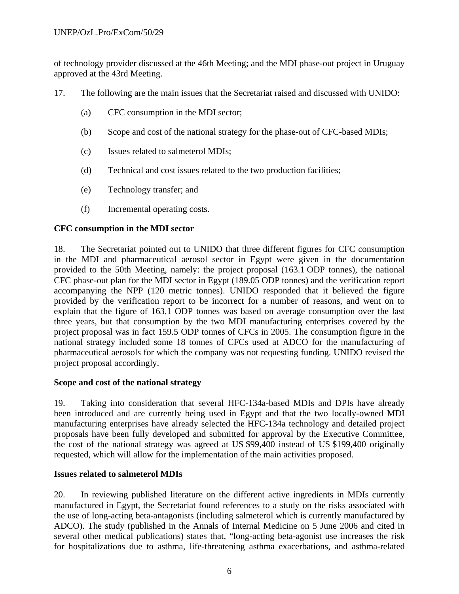of technology provider discussed at the 46th Meeting; and the MDI phase-out project in Uruguay approved at the 43rd Meeting.

- 17. The following are the main issues that the Secretariat raised and discussed with UNIDO:
	- (a) CFC consumption in the MDI sector;
	- (b) Scope and cost of the national strategy for the phase-out of CFC-based MDIs;
	- (c) Issues related to salmeterol MDIs;
	- (d) Technical and cost issues related to the two production facilities;
	- (e) Technology transfer; and
	- (f) Incremental operating costs.

# **CFC consumption in the MDI sector**

18. The Secretariat pointed out to UNIDO that three different figures for CFC consumption in the MDI and pharmaceutical aerosol sector in Egypt were given in the documentation provided to the 50th Meeting, namely: the project proposal (163.1 ODP tonnes), the national CFC phase-out plan for the MDI sector in Egypt (189.05 ODP tonnes) and the verification report accompanying the NPP (120 metric tonnes). UNIDO responded that it believed the figure provided by the verification report to be incorrect for a number of reasons, and went on to explain that the figure of 163.1 ODP tonnes was based on average consumption over the last three years, but that consumption by the two MDI manufacturing enterprises covered by the project proposal was in fact 159.5 ODP tonnes of CFCs in 2005. The consumption figure in the national strategy included some 18 tonnes of CFCs used at ADCO for the manufacturing of pharmaceutical aerosols for which the company was not requesting funding. UNIDO revised the project proposal accordingly.

# **Scope and cost of the national strategy**

19. Taking into consideration that several HFC-134a-based MDIs and DPIs have already been introduced and are currently being used in Egypt and that the two locally-owned MDI manufacturing enterprises have already selected the HFC-134a technology and detailed project proposals have been fully developed and submitted for approval by the Executive Committee, the cost of the national strategy was agreed at US \$99,400 instead of US \$199,400 originally requested, which will allow for the implementation of the main activities proposed.

# **Issues related to salmeterol MDIs**

20. In reviewing published literature on the different active ingredients in MDIs currently manufactured in Egypt, the Secretariat found references to a study on the risks associated with the use of long-acting beta-antagonists (including salmeterol which is currently manufactured by ADCO). The study (published in the Annals of Internal Medicine on 5 June 2006 and cited in several other medical publications) states that, "long-acting beta-agonist use increases the risk for hospitalizations due to asthma, life-threatening asthma exacerbations, and asthma-related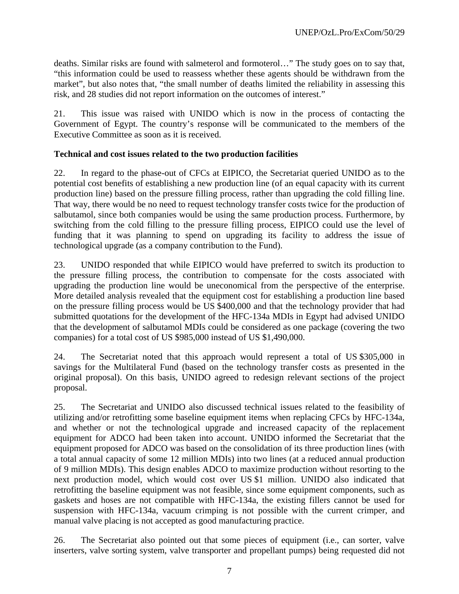deaths. Similar risks are found with salmeterol and formoterol…" The study goes on to say that, "this information could be used to reassess whether these agents should be withdrawn from the market", but also notes that, "the small number of deaths limited the reliability in assessing this risk, and 28 studies did not report information on the outcomes of interest."

21. This issue was raised with UNIDO which is now in the process of contacting the Government of Egypt. The country's response will be communicated to the members of the Executive Committee as soon as it is received.

#### **Technical and cost issues related to the two production facilities**

22. In regard to the phase-out of CFCs at EIPICO, the Secretariat queried UNIDO as to the potential cost benefits of establishing a new production line (of an equal capacity with its current production line) based on the pressure filling process, rather than upgrading the cold filling line. That way, there would be no need to request technology transfer costs twice for the production of salbutamol, since both companies would be using the same production process. Furthermore, by switching from the cold filling to the pressure filling process, EIPICO could use the level of funding that it was planning to spend on upgrading its facility to address the issue of technological upgrade (as a company contribution to the Fund).

23. UNIDO responded that while EIPICO would have preferred to switch its production to the pressure filling process, the contribution to compensate for the costs associated with upgrading the production line would be uneconomical from the perspective of the enterprise. More detailed analysis revealed that the equipment cost for establishing a production line based on the pressure filling process would be US \$400,000 and that the technology provider that had submitted quotations for the development of the HFC-134a MDIs in Egypt had advised UNIDO that the development of salbutamol MDIs could be considered as one package (covering the two companies) for a total cost of US \$985,000 instead of US \$1,490,000.

24. The Secretariat noted that this approach would represent a total of US \$305,000 in savings for the Multilateral Fund (based on the technology transfer costs as presented in the original proposal). On this basis, UNIDO agreed to redesign relevant sections of the project proposal.

25. The Secretariat and UNIDO also discussed technical issues related to the feasibility of utilizing and/or retrofitting some baseline equipment items when replacing CFCs by HFC-134a, and whether or not the technological upgrade and increased capacity of the replacement equipment for ADCO had been taken into account. UNIDO informed the Secretariat that the equipment proposed for ADCO was based on the consolidation of its three production lines (with a total annual capacity of some 12 million MDIs) into two lines (at a reduced annual production of 9 million MDIs). This design enables ADCO to maximize production without resorting to the next production model, which would cost over US \$1 million. UNIDO also indicated that retrofitting the baseline equipment was not feasible, since some equipment components, such as gaskets and hoses are not compatible with HFC-134a, the existing fillers cannot be used for suspension with HFC-134a, vacuum crimping is not possible with the current crimper, and manual valve placing is not accepted as good manufacturing practice.

26. The Secretariat also pointed out that some pieces of equipment (i.e., can sorter, valve inserters, valve sorting system, valve transporter and propellant pumps) being requested did not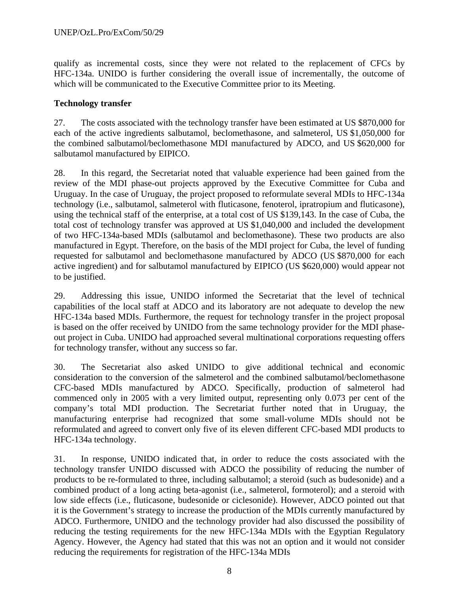qualify as incremental costs, since they were not related to the replacement of CFCs by HFC-134a. UNIDO is further considering the overall issue of incrementally, the outcome of which will be communicated to the Executive Committee prior to its Meeting.

#### **Technology transfer**

27. The costs associated with the technology transfer have been estimated at US \$870,000 for each of the active ingredients salbutamol, beclomethasone, and salmeterol, US \$1,050,000 for the combined salbutamol/beclomethasone MDI manufactured by ADCO, and US \$620,000 for salbutamol manufactured by EIPICO.

28. In this regard, the Secretariat noted that valuable experience had been gained from the review of the MDI phase-out projects approved by the Executive Committee for Cuba and Uruguay. In the case of Uruguay, the project proposed to reformulate several MDIs to HFC-134a technology (i.e., salbutamol, salmeterol with fluticasone, fenoterol, ipratropium and fluticasone), using the technical staff of the enterprise, at a total cost of US \$139,143. In the case of Cuba, the total cost of technology transfer was approved at US \$1,040,000 and included the development of two HFC-134a-based MDIs (salbutamol and beclomethasone). These two products are also manufactured in Egypt. Therefore, on the basis of the MDI project for Cuba, the level of funding requested for salbutamol and beclomethasone manufactured by ADCO (US \$870,000 for each active ingredient) and for salbutamol manufactured by EIPICO (US \$620,000) would appear not to be justified.

29. Addressing this issue, UNIDO informed the Secretariat that the level of technical capabilities of the local staff at ADCO and its laboratory are not adequate to develop the new HFC-134a based MDIs. Furthermore, the request for technology transfer in the project proposal is based on the offer received by UNIDO from the same technology provider for the MDI phaseout project in Cuba. UNIDO had approached several multinational corporations requesting offers for technology transfer, without any success so far.

30. The Secretariat also asked UNIDO to give additional technical and economic consideration to the conversion of the salmeterol and the combined salbutamol/beclomethasone CFC-based MDIs manufactured by ADCO. Specifically, production of salmeterol had commenced only in 2005 with a very limited output, representing only 0.073 per cent of the company's total MDI production. The Secretariat further noted that in Uruguay, the manufacturing enterprise had recognized that some small-volume MDIs should not be reformulated and agreed to convert only five of its eleven different CFC-based MDI products to HFC-134a technology.

31. In response, UNIDO indicated that, in order to reduce the costs associated with the technology transfer UNIDO discussed with ADCO the possibility of reducing the number of products to be re-formulated to three, including salbutamol; a steroid (such as budesonide) and a combined product of a long acting beta-agonist (i.e., salmeterol, formoterol); and a steroid with low side effects (i.e., fluticasone, budesonide or ciclesonide). However, ADCO pointed out that it is the Government's strategy to increase the production of the MDIs currently manufactured by ADCO. Furthermore, UNIDO and the technology provider had also discussed the possibility of reducing the testing requirements for the new HFC-134a MDIs with the Egyptian Regulatory Agency. However, the Agency had stated that this was not an option and it would not consider reducing the requirements for registration of the HFC-134a MDIs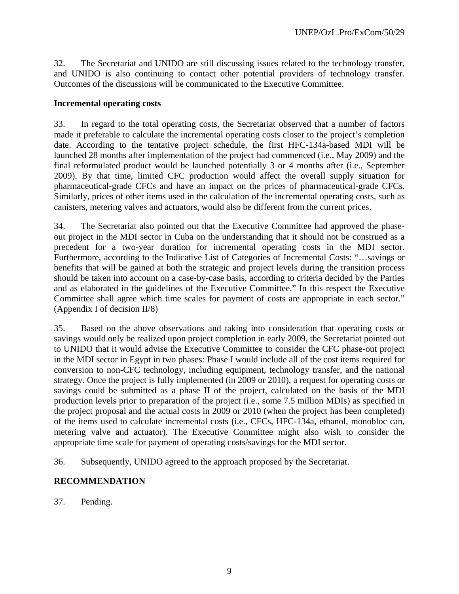32. The Secretariat and UNIDO are still discussing issues related to the technology transfer, and UNIDO is also continuing to contact other potential providers of technology transfer. Outcomes of the discussions will be communicated to the Executive Committee.

#### **Incremental operating costs**

33. In regard to the total operating costs, the Secretariat observed that a number of factors made it preferable to calculate the incremental operating costs closer to the project's completion date. According to the tentative project schedule, the first HFC-134a-based MDI will be launched 28 months after implementation of the project had commenced (i.e., May 2009) and the final reformulated product would be launched potentially 3 or 4 months after (i.e., September 2009). By that time, limited CFC production would affect the overall supply situation for pharmaceutical-grade CFCs and have an impact on the prices of pharmaceutical-grade CFCs. Similarly, prices of other items used in the calculation of the incremental operating costs, such as canisters, metering valves and actuators, would also be different from the current prices.

34. The Secretariat also pointed out that the Executive Committee had approved the phaseout project in the MDI sector in Cuba on the understanding that it should not be construed as a precedent for a two-year duration for incremental operating costs in the MDI sector. Furthermore, according to the Indicative List of Categories of Incremental Costs: "…savings or benefits that will be gained at both the strategic and project levels during the transition process should be taken into account on a case-by-case basis, according to criteria decided by the Parties and as elaborated in the guidelines of the Executive Committee." In this respect the Executive Committee shall agree which time scales for payment of costs are appropriate in each sector." (Appendix I of decision II/8)

35. Based on the above observations and taking into consideration that operating costs or savings would only be realized upon project completion in early 2009, the Secretariat pointed out to UNIDO that it would advise the Executive Committee to consider the CFC phase-out project in the MDI sector in Egypt in two phases: Phase I would include all of the cost items required for conversion to non-CFC technology, including equipment, technology transfer, and the national strategy. Once the project is fully implemented (in 2009 or 2010), a request for operating costs or savings could be submitted as a phase II of the project, calculated on the basis of the MDI production levels prior to preparation of the project (i.e., some 7.5 million MDIs) as specified in the project proposal and the actual costs in 2009 or 2010 (when the project has been completed) of the items used to calculate incremental costs (i.e., CFCs, HFC-134a, ethanol, monobloc can, metering valve and actuator). The Executive Committee might also wish to consider the appropriate time scale for payment of operating costs/savings for the MDI sector.

36. Subsequently, UNIDO agreed to the approach proposed by the Secretariat.

#### **RECOMMENDATION**

37. Pending.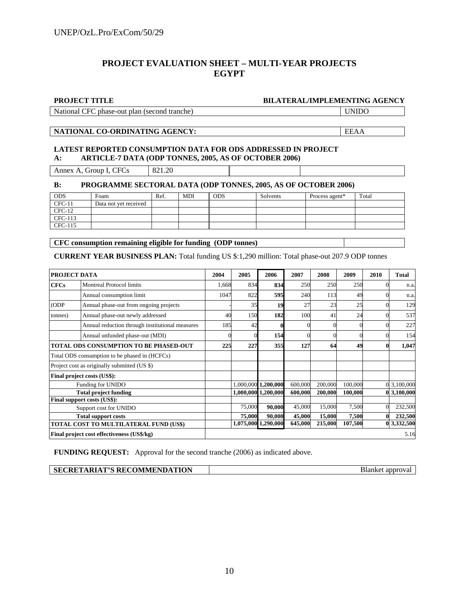#### **PROJECT EVALUATION SHEET – MULTI-YEAR PROJECTS EGYPT**

#### **PROJECT TITLE BILATERAL/IMPLEMENTING AGENCY**

National CFC phase-out plan (second tranche) UNIDO

#### **NATIONAL CO-ORDINATING AGENCY:** EEAA

#### **LATEST REPORTED CONSUMPTION DATA FOR ODS ADDRESSED IN PROJECT A: ARTICLE-7 DATA (ODP TONNES, 2005, AS OF OCTOBER 2006)**

Annex A, Group I, CFCs  $821.20$ 

#### **B: PROGRAMME SECTORAL DATA (ODP TONNES, 2005, AS OF OCTOBER 2006)**

| <b>ODS</b> | Foam                  | Ref. | <b>MDI</b> | <b>ODS</b> | Solvents | Process agent* | Total |
|------------|-----------------------|------|------------|------------|----------|----------------|-------|
| $CFC-11$   | Data not vet received |      |            |            |          |                |       |
| $CFC-12$   |                       |      |            |            |          |                |       |
| CFC-113    |                       |      |            |            |          |                |       |
| CFC-115    |                       |      |            |            |          |                |       |

**CFC consumption remaining eligible for funding (ODP tonnes)** 

**CURRENT YEAR BUSINESS PLAN:** Total funding US \$:1,290 million: Total phase-out 207.9 ODP tonnes

| PROJECT DATA               |                                                 | 2004  | 2005   | 2006                | 2007    | 2008    | 2009    | 2010 | <b>Total</b> |
|----------------------------|-------------------------------------------------|-------|--------|---------------------|---------|---------|---------|------|--------------|
| <b>CFCs</b>                | <b>Montreal Protocol limits</b>                 | 1,668 | 834    | 834                 | 250     | 250     | 250     |      | n.a.         |
|                            | Annual consumption limit                        | 1047  | 822    | 595                 | 240     | 113     | 49      |      | n.a.         |
| (ODP)                      | Annual phase-out from ongoing projects          |       | 35     | 19                  | 27      | 23      | 25      |      | 129          |
| tonnes)                    | Annual phase-out newly addressed                | 40    | 150    | 182                 | 100     | 41      | 24      |      | 537          |
|                            | Annual reduction through institutional measures | 185   | 42     |                     |         |         |         |      | 227          |
|                            | Annual unfunded phase-out (MDI)                 |       |        | 154                 |         |         |         |      | 154          |
|                            | TOTAL ODS CONSUMPTION TO BE PHASED-OUT          | 225   | 227    | 355                 | 127     | 64      | 49      |      | 1,047        |
|                            | Total ODS consumption to be phased in (HCFCs)   |       |        |                     |         |         |         |      |              |
|                            | Project cost as originally submitted (US \$)    |       |        |                     |         |         |         |      |              |
|                            | Final project costs (US\$):                     |       |        |                     |         |         |         |      |              |
|                            | Funding for UNIDO                               |       |        | 1,000,000 1,200,000 | 600,000 | 200,000 | 100,000 |      | 3,100,000    |
|                            | <b>Total project funding</b>                    |       |        | 1,000,000 1,200,000 | 600,000 | 200,000 | 100,000 |      | 0 3,100,000  |
|                            | Final support costs (US\$):                     |       |        |                     |         |         |         |      |              |
| Support cost for UNIDO     |                                                 |       | 75,000 | 90,000              | 45,000  | 15,000  | 7,500   |      | 232,500      |
| <b>Total support costs</b> |                                                 |       | 75,000 | 90,000              | 45,000  | 15,000  | 7,500   |      | 232,500      |
|                            | TOTAL COST TO MULTILATERAL FUND (US\$)          |       |        | 1,075,000 1,290,000 | 645,000 | 215,000 | 107,500 |      | 0 3,332,500  |
|                            | Final project cost effectiveness (US\$/kg)      |       |        |                     |         |         |         |      | 5.16         |

**FUNDING REQUEST:** Approval for the second tranche (2006) as indicated above.

| <b>  SECRETARIAT'S RECOMMENDATION</b> | Blanket approval |
|---------------------------------------|------------------|
|---------------------------------------|------------------|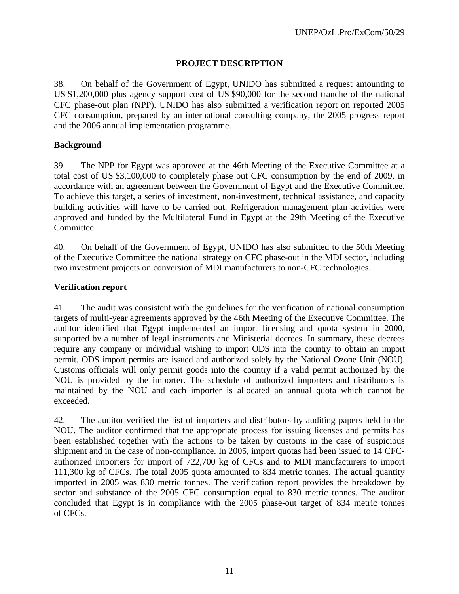#### **PROJECT DESCRIPTION**

38. On behalf of the Government of Egypt, UNIDO has submitted a request amounting to US \$1,200,000 plus agency support cost of US \$90,000 for the second tranche of the national CFC phase-out plan (NPP). UNIDO has also submitted a verification report on reported 2005 CFC consumption, prepared by an international consulting company, the 2005 progress report and the 2006 annual implementation programme.

#### **Background**

39. The NPP for Egypt was approved at the 46th Meeting of the Executive Committee at a total cost of US \$3,100,000 to completely phase out CFC consumption by the end of 2009, in accordance with an agreement between the Government of Egypt and the Executive Committee. To achieve this target, a series of investment, non-investment, technical assistance, and capacity building activities will have to be carried out. Refrigeration management plan activities were approved and funded by the Multilateral Fund in Egypt at the 29th Meeting of the Executive Committee.

40. On behalf of the Government of Egypt, UNIDO has also submitted to the 50th Meeting of the Executive Committee the national strategy on CFC phase-out in the MDI sector, including two investment projects on conversion of MDI manufacturers to non-CFC technologies.

#### **Verification report**

41. The audit was consistent with the guidelines for the verification of national consumption targets of multi-year agreements approved by the 46th Meeting of the Executive Committee. The auditor identified that Egypt implemented an import licensing and quota system in 2000, supported by a number of legal instruments and Ministerial decrees. In summary, these decrees require any company or individual wishing to import ODS into the country to obtain an import permit. ODS import permits are issued and authorized solely by the National Ozone Unit (NOU). Customs officials will only permit goods into the country if a valid permit authorized by the NOU is provided by the importer. The schedule of authorized importers and distributors is maintained by the NOU and each importer is allocated an annual quota which cannot be exceeded.

42. The auditor verified the list of importers and distributors by auditing papers held in the NOU. The auditor confirmed that the appropriate process for issuing licenses and permits has been established together with the actions to be taken by customs in the case of suspicious shipment and in the case of non-compliance. In 2005, import quotas had been issued to 14 CFCauthorized importers for import of 722,700 kg of CFCs and to MDI manufacturers to import 111,300 kg of CFCs. The total 2005 quota amounted to 834 metric tonnes. The actual quantity imported in 2005 was 830 metric tonnes. The verification report provides the breakdown by sector and substance of the 2005 CFC consumption equal to 830 metric tonnes. The auditor concluded that Egypt is in compliance with the 2005 phase-out target of 834 metric tonnes of CFCs.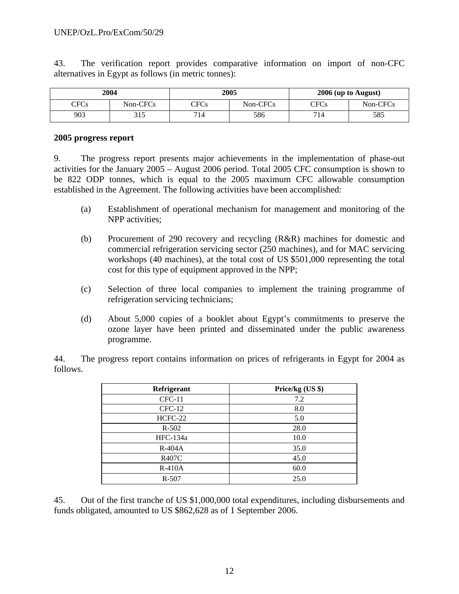43. The verification report provides comparative information on import of non-CFC alternatives in Egypt as follows (in metric tonnes):

| 2004 |          |      | 2005                 | 2006 (up to August) |                      |  |
|------|----------|------|----------------------|---------------------|----------------------|--|
| CFCs | Non-CFCs | CFCs | Non-CFC <sub>s</sub> | CFCs                | Non-CFC <sub>s</sub> |  |
| 903  | 315      | 714  | 586                  | 714                 | 585                  |  |

#### **2005 progress report**

9. The progress report presents major achievements in the implementation of phase-out activities for the January 2005 – August 2006 period. Total 2005 CFC consumption is shown to be 822 ODP tonnes, which is equal to the 2005 maximum CFC allowable consumption established in the Agreement. The following activities have been accomplished:

- (a) Establishment of operational mechanism for management and monitoring of the NPP activities;
- (b) Procurement of 290 recovery and recycling (R&R) machines for domestic and commercial refrigeration servicing sector (250 machines), and for MAC servicing workshops (40 machines), at the total cost of US \$501,000 representing the total cost for this type of equipment approved in the NPP;
- (c) Selection of three local companies to implement the training programme of refrigeration servicing technicians;
- (d) About 5,000 copies of a booklet about Egypt's commitments to preserve the ozone layer have been printed and disseminated under the public awareness programme.

44. The progress report contains information on prices of refrigerants in Egypt for 2004 as follows.

| Refrigerant  | Price/kg (US \$) |  |  |
|--------------|------------------|--|--|
| $CFC-11$     | 7.2              |  |  |
| $CFC-12$     | 8.0              |  |  |
| HCFC-22      | 5.0              |  |  |
| $R - 502$    | 28.0             |  |  |
| $HFC-134a$   | 10.0             |  |  |
| R-404A       | 35.0             |  |  |
| <b>R407C</b> | 45.0             |  |  |
| $R-410A$     | 60.0             |  |  |
| $R - 507$    | 25.0             |  |  |

45. Out of the first tranche of US \$1,000,000 total expenditures, including disbursements and funds obligated, amounted to US \$862,628 as of 1 September 2006.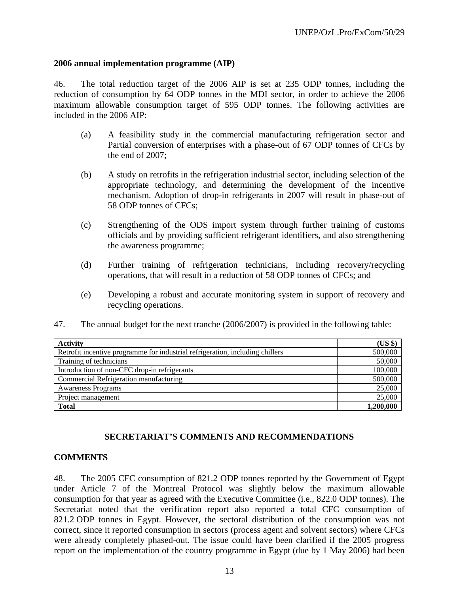#### **2006 annual implementation programme (AIP)**

46. The total reduction target of the 2006 AIP is set at 235 ODP tonnes, including the reduction of consumption by 64 ODP tonnes in the MDI sector, in order to achieve the 2006 maximum allowable consumption target of 595 ODP tonnes. The following activities are included in the 2006 AIP:

- (a) A feasibility study in the commercial manufacturing refrigeration sector and Partial conversion of enterprises with a phase-out of 67 ODP tonnes of CFCs by the end of 2007;
- (b) A study on retrofits in the refrigeration industrial sector, including selection of the appropriate technology, and determining the development of the incentive mechanism. Adoption of drop-in refrigerants in 2007 will result in phase-out of 58 ODP tonnes of CFCs;
- (c) Strengthening of the ODS import system through further training of customs officials and by providing sufficient refrigerant identifiers, and also strengthening the awareness programme;
- (d) Further training of refrigeration technicians, including recovery/recycling operations, that will result in a reduction of 58 ODP tonnes of CFCs; and
- (e) Developing a robust and accurate monitoring system in support of recovery and recycling operations.
- 47. The annual budget for the next tranche (2006/2007) is provided in the following table:

| <b>Activity</b>                                                               | (US \$)   |
|-------------------------------------------------------------------------------|-----------|
| Retrofit incentive programme for industrial refrigeration, including chillers | 500,000   |
| Training of technicians                                                       | 50,000    |
| Introduction of non-CFC drop-in refrigerants                                  | 100,000   |
| Commercial Refrigeration manufacturing                                        | 500,000   |
| <b>Awareness Programs</b>                                                     | 25,000    |
| Project management                                                            | 25,000    |
| <b>Total</b>                                                                  | 1,200,000 |

# **SECRETARIAT'S COMMENTS AND RECOMMENDATIONS**

#### **COMMENTS**

48. The 2005 CFC consumption of 821.2 ODP tonnes reported by the Government of Egypt under Article 7 of the Montreal Protocol was slightly below the maximum allowable consumption for that year as agreed with the Executive Committee (i.e., 822.0 ODP tonnes). The Secretariat noted that the verification report also reported a total CFC consumption of 821.2 ODP tonnes in Egypt. However, the sectoral distribution of the consumption was not correct, since it reported consumption in sectors (process agent and solvent sectors) where CFCs were already completely phased-out. The issue could have been clarified if the 2005 progress report on the implementation of the country programme in Egypt (due by 1 May 2006) had been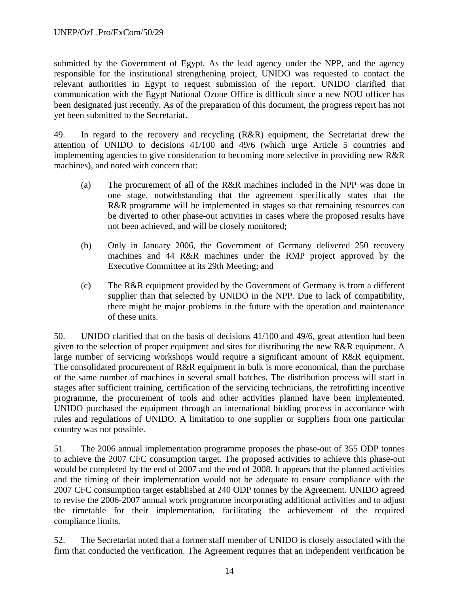submitted by the Government of Egypt. As the lead agency under the NPP, and the agency responsible for the institutional strengthening project, UNIDO was requested to contact the relevant authorities in Egypt to request submission of the report. UNIDO clarified that communication with the Egypt National Ozone Office is difficult since a new NOU officer has been designated just recently. As of the preparation of this document, the progress report has not yet been submitted to the Secretariat.

49. In regard to the recovery and recycling (R&R) equipment, the Secretariat drew the attention of UNIDO to decisions 41/100 and 49/6 (which urge Article 5 countries and implementing agencies to give consideration to becoming more selective in providing new R&R machines), and noted with concern that:

- (a) The procurement of all of the R&R machines included in the NPP was done in one stage, notwithstanding that the agreement specifically states that the R&R programme will be implemented in stages so that remaining resources can be diverted to other phase-out activities in cases where the proposed results have not been achieved, and will be closely monitored;
- (b) Only in January 2006, the Government of Germany delivered 250 recovery machines and 44 R&R machines under the RMP project approved by the Executive Committee at its 29th Meeting; and
- (c) The R&R equipment provided by the Government of Germany is from a different supplier than that selected by UNIDO in the NPP. Due to lack of compatibility, there might be major problems in the future with the operation and maintenance of these units.

50. UNIDO clarified that on the basis of decisions 41/100 and 49/6, great attention had been given to the selection of proper equipment and sites for distributing the new R&R equipment. A large number of servicing workshops would require a significant amount of R&R equipment. The consolidated procurement of R&R equipment in bulk is more economical, than the purchase of the same number of machines in several small batches. The distribution process will start in stages after sufficient training, certification of the servicing technicians, the retrofitting incentive programme, the procurement of tools and other activities planned have been implemented. UNIDO purchased the equipment through an international bidding process in accordance with rules and regulations of UNIDO. A limitation to one supplier or suppliers from one particular country was not possible.

51. The 2006 annual implementation programme proposes the phase-out of 355 ODP tonnes to achieve the 2007 CFC consumption target. The proposed activities to achieve this phase-out would be completed by the end of 2007 and the end of 2008. It appears that the planned activities and the timing of their implementation would not be adequate to ensure compliance with the 2007 CFC consumption target established at 240 ODP tonnes by the Agreement. UNIDO agreed to revise the 2006-2007 annual work programme incorporating additional activities and to adjust the timetable for their implementation, facilitating the achievement of the required compliance limits.

52. The Secretariat noted that a former staff member of UNIDO is closely associated with the firm that conducted the verification. The Agreement requires that an independent verification be